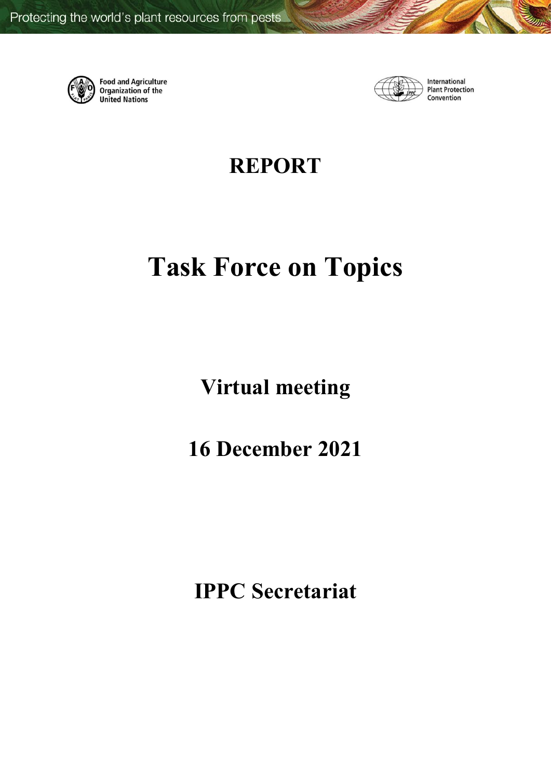

**Food and Agriculture** Organization of the **United Nations** 



International **Plant Protection** Convention

**REPORT**

# **Task Force on Topics**

**Virtual meeting**

**16 December 2021** 

**IPPC Secretariat**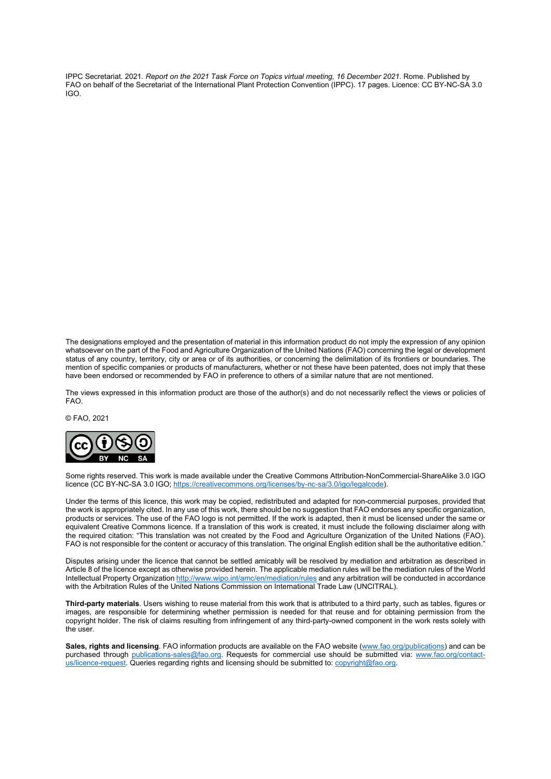IPPC Secretariat. 2021. *Report on the 2021 Task Force on Topics virtual meeting, 16 December 2021.* Rome. Published by FAO on behalf of the Secretariat of the International Plant Protection Convention (IPPC). 17 pages. Licence: CC BY-NC-SA 3.0 IGO.

The designations employed and the presentation of material in this information product do not imply the expression of any opinion whatsoever on the part of the Food and Agriculture Organization of the United Nations (FAO) concerning the legal or development status of any country, territory, city or area or of its authorities, or concerning the delimitation of its frontiers or boundaries. The mention of specific companies or products of manufacturers, whether or not these have been patented, does not imply that these have been endorsed or recommended by FAO in preference to others of a similar nature that are not mentioned.

The views expressed in this information product are those of the author(s) and do not necessarily reflect the views or policies of FAO.

© FAO, 2021



Some rights reserved. This work is made available under the Creative Commons Attribution-NonCommercial-ShareAlike 3.0 IGO licence (CC BY-NC-SA 3.0 IGO[; https://creativecommons.org/licenses/by-nc-sa/3.0/igo/legalcode\)](https://creativecommons.org/licenses/by-nc-sa/3.0/igo/legalcode).

Under the terms of this licence, this work may be copied, redistributed and adapted for non-commercial purposes, provided that the work is appropriately cited. In any use of this work, there should be no suggestion that FAO endorses any specific organization, products or services. The use of the FAO logo is not permitted. If the work is adapted, then it must be licensed under the same or equivalent Creative Commons licence. If a translation of this work is created, it must include the following disclaimer along with the required citation: "This translation was not created by the Food and Agriculture Organization of the United Nations (FAO). FAO is not responsible for the content or accuracy of this translation. The original English edition shall be the authoritative edition."

Disputes arising under the licence that cannot be settled amicably will be resolved by mediation and arbitration as described in Article 8 of the licence except as otherwise provided herein. The applicable mediation rules will be the mediation rules of the World Intellectual Property Organizatio[n http://www.wipo.int/amc/en/mediation/rules](http://www.wipo.int/amc/en/mediation/rules) and any arbitration will be conducted in accordance with the Arbitration Rules of the United Nations Commission on International Trade Law (UNCITRAL).

**Third-party materials**. Users wishing to reuse material from this work that is attributed to a third party, such as tables, figures or images, are responsible for determining whether permission is needed for that reuse and for obtaining permission from the copyright holder. The risk of claims resulting from infringement of any third-party-owned component in the work rests solely with the user.

**Sales, rights and licensing**. FAO information products are available on the FAO website [\(www.fao.org/publications\)](http://www.fao.org/publications) and can be purchased through <u>publications-sales@fao.org</u>. Requests for commercial use should be submitted via: [www.fao.org/contact](http://www.fao.org/contact-us/licence-request)[us/licence-request.](http://www.fao.org/contact-us/licence-request) Queries regarding rights and licensing should be submitted to[: copyright@fao.org.](mailto:copyright@fao.org)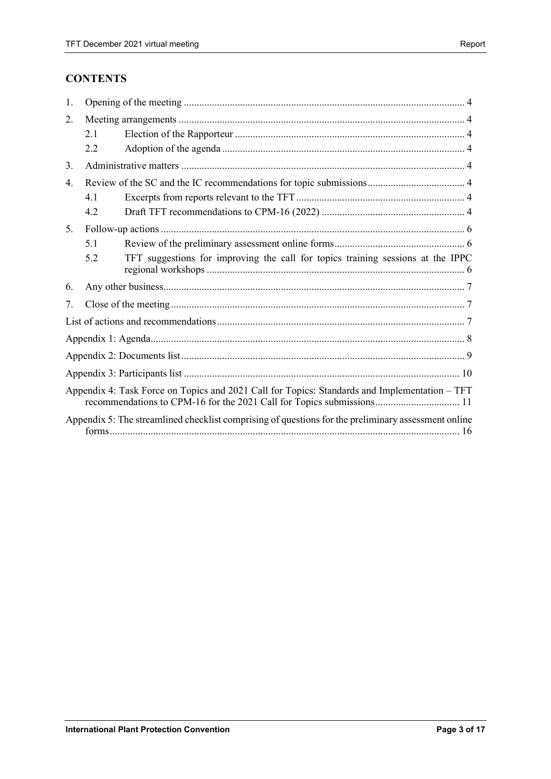# **CONTENTS**

| 1. |     |                                                                                                     |  |  |  |  |
|----|-----|-----------------------------------------------------------------------------------------------------|--|--|--|--|
| 2. |     |                                                                                                     |  |  |  |  |
|    | 2.1 |                                                                                                     |  |  |  |  |
|    | 2.2 |                                                                                                     |  |  |  |  |
| 3. |     |                                                                                                     |  |  |  |  |
| 4. |     |                                                                                                     |  |  |  |  |
|    | 4.1 |                                                                                                     |  |  |  |  |
|    | 4.2 |                                                                                                     |  |  |  |  |
| 5. |     |                                                                                                     |  |  |  |  |
|    | 5.1 |                                                                                                     |  |  |  |  |
|    | 5.2 | TFT suggestions for improving the call for topics training sessions at the IPPC                     |  |  |  |  |
| 6. |     |                                                                                                     |  |  |  |  |
| 7. |     |                                                                                                     |  |  |  |  |
|    |     |                                                                                                     |  |  |  |  |
|    |     |                                                                                                     |  |  |  |  |
|    |     |                                                                                                     |  |  |  |  |
|    |     |                                                                                                     |  |  |  |  |
|    |     | Appendix 4: Task Force on Topics and 2021 Call for Topics: Standards and Implementation – TFT       |  |  |  |  |
|    |     | Appendix 5: The streamlined checklist comprising of questions for the preliminary assessment online |  |  |  |  |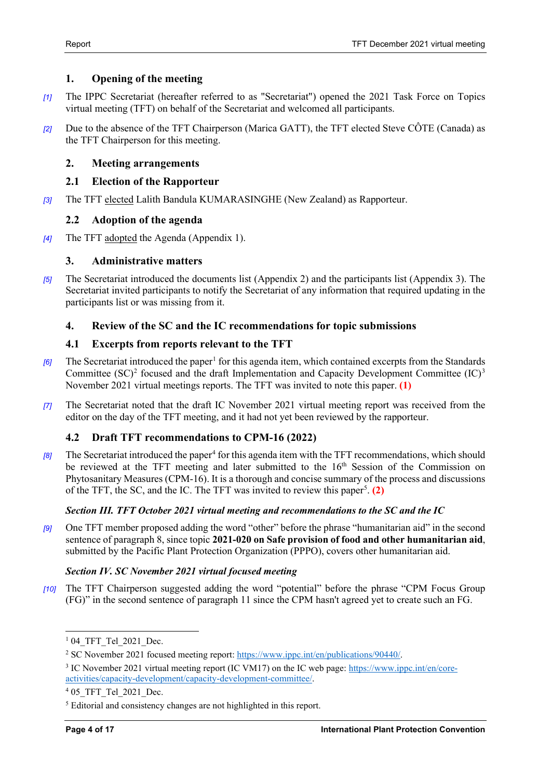# <span id="page-3-0"></span>**1. Opening of the meeting**

- *[1]* The IPPC Secretariat (hereafter referred to as "Secretariat") opened the 2021 Task Force on Topics virtual meeting (TFT) on behalf of the Secretariat and welcomed all participants.
- *[2]* Due to the absence of the TFT Chairperson (Marica GATT), the TFT elected Steve CÔTE (Canada) as the TFT Chairperson for this meeting.

## <span id="page-3-1"></span>**2. Meeting arrangements**

## <span id="page-3-2"></span>**2.1 Election of the Rapporteur**

*[3]* The TFT elected Lalith Bandula KUMARASINGHE (New Zealand) as Rapporteur.

#### <span id="page-3-3"></span>**2.2 Adoption of the agenda**

*[4]* The TFT adopted the Agenda (Appendix 1).

#### <span id="page-3-4"></span>**3. Administrative matters**

*[5]* The Secretariat introduced the documents list (Appendix 2) and the participants list (Appendix 3). The Secretariat invited participants to notify the Secretariat of any information that required updating in the participants list or was missing from it.

# <span id="page-3-5"></span>**4. Review of the SC and the IC recommendations for topic submissions**

#### <span id="page-3-6"></span>**4.1 Excerpts from reports relevant to the TFT**

- *[6]* The Secretariat introduced the paper<sup>[1](#page-3-8)</sup> for this agenda item, which contained excerpts from the Standards Committee  $(SC)^2$  $(SC)^2$  focused and the draft Implementation and Capacity Development Committee  $(IC)^3$  $(IC)^3$ November 2021 virtual meetings reports. The TFT was invited to note this paper. **[\(1\)](#page-6-3)**
- *[7]* The Secretariat noted that the draft IC November 2021 virtual meeting report was received from the editor on the day of the TFT meeting, and it had not yet been reviewed by the rapporteur.

# <span id="page-3-7"></span>**4.2 Draft TFT recommendations to CPM-16 (2022)**

*[8]* The Secretariat introduced the paper<sup>4</sup> for this agenda item with the TFT recommendations, which should be reviewed at the TFT meeting and later submitted to the 16<sup>th</sup> Session of the Commission on Phytosanitary Measures (CPM-16). It is a thorough and concise summary of the process and discussions of the TFT, the SC, and the IC. The TFT was invited to review this paper<sup>[5](#page-3-12)</sup>. [\(2\)](#page-6-4)

#### *Section III. TFT October 2021 virtual meeting and recommendations to the SC and the IC*

*[9]* One TFT member proposed adding the word "other" before the phrase "humanitarian aid" in the second sentence of paragraph 8, since topic **2021-020 on Safe provision of food and other humanitarian aid**, submitted by the Pacific Plant Protection Organization (PPPO), covers other humanitarian aid.

#### *Section IV. SC November 2021 virtual focused meeting*

*[10]* The TFT Chairperson suggested adding the word "potential" before the phrase "CPM Focus Group (FG)" in the second sentence of paragraph 11 since the CPM hasn't agreed yet to create such an FG.

<span id="page-3-8"></span> $104$  TFT Tel 2021 Dec.

<span id="page-3-9"></span><sup>2</sup> SC November 2021 focused meeting report: [https://www.ippc.int/en/publications/90440/.](https://www.ippc.int/en/publications/90440/)

<span id="page-3-10"></span><sup>3</sup> IC November 2021 virtual meeting report (IC VM17) on the IC web page: [https://www.ippc.int/en/core](https://www.ippc.int/en/core-activities/capacity-development/capacity-development-committee/)[activities/capacity-development/capacity-development-committee/.](https://www.ippc.int/en/core-activities/capacity-development/capacity-development-committee/)

<span id="page-3-11"></span><sup>&</sup>lt;sup>4</sup> 05 TFT Tel 2021 Dec.

<span id="page-3-12"></span><sup>5</sup> Editorial and consistency changes are not highlighted in this report.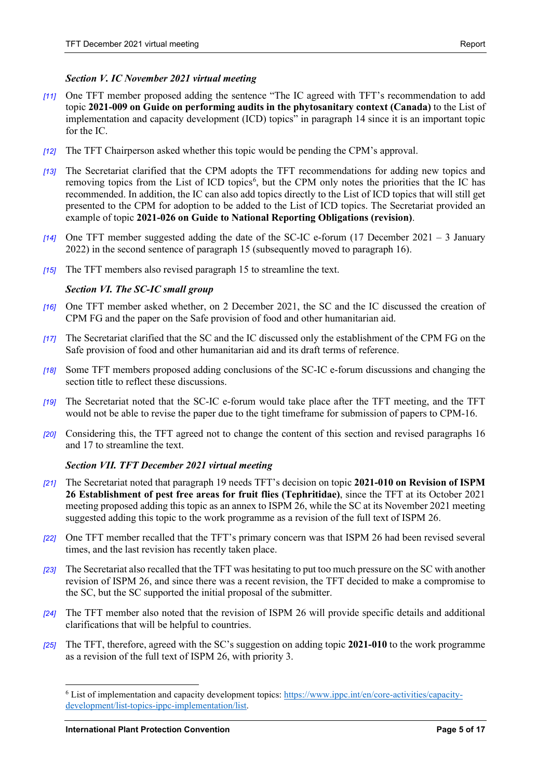#### *Section V. IC November 2021 virtual meeting*

- *[11]* One TFT member proposed adding the sentence "The IC agreed with TFT's recommendation to add topic **2021-009 on Guide on performing audits in the phytosanitary context (Canada)** to the List of implementation and capacity development (ICD) topics" in paragraph 14 since it is an important topic for the IC.
- *[12]* The TFT Chairperson asked whether this topic would be pending the CPM's approval.
- *[13]* The Secretariat clarified that the CPM adopts the TFT recommendations for adding new topics and removing topics from the List of ICD topics<sup>6</sup>, but the CPM only notes the priorities that the IC has recommended. In addition, the IC can also add topics directly to the List of ICD topics that will still get presented to the CPM for adoption to be added to the List of ICD topics. The Secretariat provided an example of topic **2021-026 on Guide to National Reporting Obligations (revision)**.
- *[14]* One TFT member suggested adding the date of the SC-IC e-forum (17 December 2021 3 January 2022) in the second sentence of paragraph 15 (subsequently moved to paragraph 16).
- *[15]* The TFT members also revised paragraph 15 to streamline the text.

#### *Section VI. The SC-IC small group*

- *[16]* One TFT member asked whether, on 2 December 2021, the SC and the IC discussed the creation of CPM FG and the paper on the Safe provision of food and other humanitarian aid.
- *[17]* The Secretariat clarified that the SC and the IC discussed only the establishment of the CPM FG on the Safe provision of food and other humanitarian aid and its draft terms of reference.
- *[18]* Some TFT members proposed adding conclusions of the SC-IC e-forum discussions and changing the section title to reflect these discussions.
- *[19]* The Secretariat noted that the SC-IC e-forum would take place after the TFT meeting, and the TFT would not be able to revise the paper due to the tight timeframe for submission of papers to CPM-16.
- *[20]* Considering this, the TFT agreed not to change the content of this section and revised paragraphs 16 and 17 to streamline the text.

#### *Section VII. TFT December 2021 virtual meeting*

- *[21]* The Secretariat noted that paragraph 19 needs TFT's decision on topic **2021-010 on Revision of ISPM 26 Establishment of pest free areas for fruit flies (Tephritidae)**, since the TFT at its October 2021 meeting proposed adding this topic as an annex to ISPM 26, while the SC at its November 2021 meeting suggested adding this topic to the work programme as a revision of the full text of ISPM 26.
- *[22]* One TFT member recalled that the TFT's primary concern was that ISPM 26 had been revised several times, and the last revision has recently taken place.
- *[23]* The Secretariat also recalled that the TFT was hesitating to put too much pressure on the SC with another revision of ISPM 26, and since there was a recent revision, the TFT decided to make a compromise to the SC, but the SC supported the initial proposal of the submitter.
- *[24]* The TFT member also noted that the revision of ISPM 26 will provide specific details and additional clarifications that will be helpful to countries.
- *[25]* The TFT, therefore, agreed with the SC's suggestion on adding topic **2021-010** to the work programme as a revision of the full text of ISPM 26, with priority 3.

<span id="page-4-0"></span><sup>6</sup> List of implementation and capacity development topics: [https://www.ippc.int/en/core-activities/capacity](https://www.ippc.int/en/core-activities/capacity-development/list-topics-ippc-implementation/list)[development/list-topics-ippc-implementation/list.](https://www.ippc.int/en/core-activities/capacity-development/list-topics-ippc-implementation/list)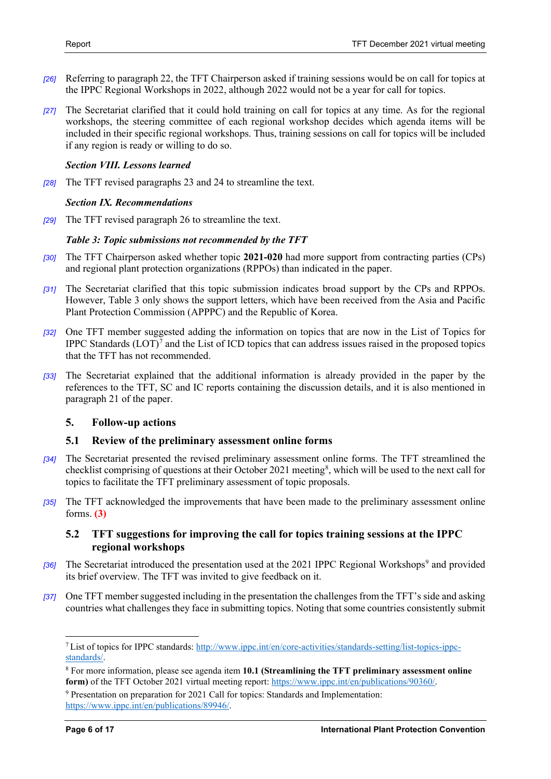- *[26]* Referring to paragraph 22, the TFT Chairperson asked if training sessions would be on call for topics at the IPPC Regional Workshops in 2022, although 2022 would not be a year for call for topics.
- *[27]* The Secretariat clarified that it could hold training on call for topics at any time. As for the regional workshops, the steering committee of each regional workshop decides which agenda items will be included in their specific regional workshops. Thus, training sessions on call for topics will be included if any region is ready or willing to do so.

#### *Section VIII. Lessons learned*

*[28]* The TFT revised paragraphs 23 and 24 to streamline the text.

#### *Section IX. Recommendations*

*[29]* The TFT revised paragraph 26 to streamline the text.

#### *Table 3: Topic submissions not recommended by the TFT*

- *[30]* The TFT Chairperson asked whether topic **2021-020** had more support from contracting parties (CPs) and regional plant protection organizations (RPPOs) than indicated in the paper.
- *[31]* The Secretariat clarified that this topic submission indicates broad support by the CPs and RPPOs. However, Table 3 only shows the support letters, which have been received from the Asia and Pacific Plant Protection Commission (APPPC) and the Republic of Korea.
- *[32]* One TFT member suggested adding the information on topics that are now in the List of Topics for IPPC Standards (LOT)[7](#page-5-3) and the List of ICD topics that can address issues raised in the proposed topics that the TFT has not recommended.
- *[33]* The Secretariat explained that the additional information is already provided in the paper by the references to the TFT, SC and IC reports containing the discussion details, and it is also mentioned in paragraph 21 of the paper.

#### <span id="page-5-0"></span>**5. Follow-up actions**

#### <span id="page-5-1"></span>**5.1 Review of the preliminary assessment online forms**

- *[34]* The Secretariat presented the revised preliminary assessment online forms. The TFT streamlined the checklist comprising of questions at their October 2021 meeting<sup>[8](#page-5-4)</sup>, which will be used to the next call for topics to facilitate the TFT preliminary assessment of topic proposals.
- *[35]* The TFT acknowledged the improvements that have been made to the preliminary assessment online forms. **[\(3\)](#page-6-5)**

#### <span id="page-5-2"></span>**5.2 TFT suggestions for improving the call for topics training sessions at the IPPC regional workshops**

- <sup>[36]</sup> The Secretariat introduced the presentation used at the 2021 IPPC Regional Workshops<sup>[9](#page-5-5)</sup> and provided its brief overview. The TFT was invited to give feedback on it.
- *[37]* One TFT member suggested including in the presentation the challenges from the TFT's side and asking countries what challenges they face in submitting topics. Noting that some countries consistently submit

<span id="page-5-3"></span><sup>7</sup> List of topics for IPPC standards: [http://www.ippc.int/en/core-activities/standards-setting/list-topics-ippc](http://www.ippc.int/en/core-activities/standards-setting/list-topics-ippc-standards/)[standards/.](http://www.ippc.int/en/core-activities/standards-setting/list-topics-ippc-standards/)

<span id="page-5-4"></span><sup>8</sup> For more information, please see agenda item **10.1 (Streamlining the TFT preliminary assessment online**  form) of the TFT October 2021 virtual meeting report[: https://www.ippc.int/en/publications/90360/.](https://www.ippc.int/en/publications/90360/)

<span id="page-5-5"></span><sup>9</sup> Presentation on preparation for 2021 Call for topics: Standards and Implementation: [https://www.ippc.int/en/publications/89946/.](https://www.ippc.int/en/publications/89946/)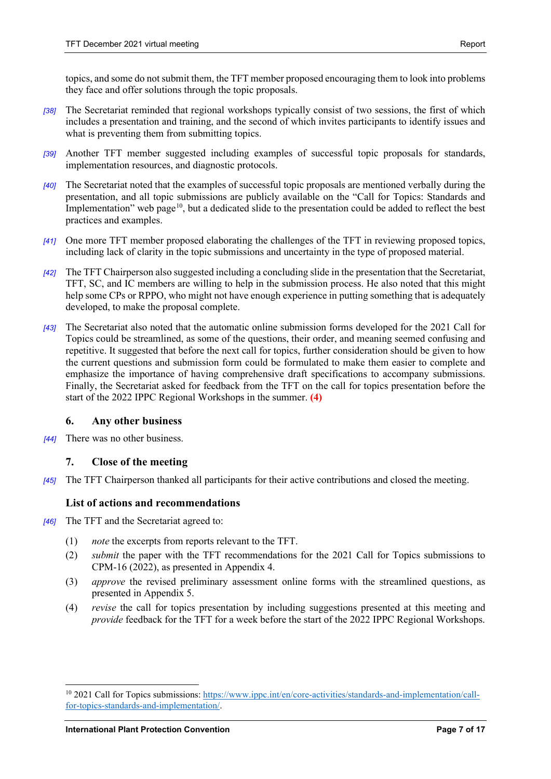topics, and some do not submit them, the TFT member proposed encouraging them to look into problems they face and offer solutions through the topic proposals.

- *[38]* The Secretariat reminded that regional workshops typically consist of two sessions, the first of which includes a presentation and training, and the second of which invites participants to identify issues and what is preventing them from submitting topics.
- *[39]* Another TFT member suggested including examples of successful topic proposals for standards, implementation resources, and diagnostic protocols.
- *[40]* The Secretariat noted that the examples of successful topic proposals are mentioned verbally during the presentation, and all topic submissions are publicly available on the "Call for Topics: Standards and Implementation" web page<sup>10</sup>, but a dedicated slide to the presentation could be added to reflect the best practices and examples.
- *[41]* One more TFT member proposed elaborating the challenges of the TFT in reviewing proposed topics, including lack of clarity in the topic submissions and uncertainty in the type of proposed material.
- *[42]* The TFT Chairperson also suggested including a concluding slide in the presentation that the Secretariat, TFT, SC, and IC members are willing to help in the submission process. He also noted that this might help some CPs or RPPO, who might not have enough experience in putting something that is adequately developed, to make the proposal complete.
- *[43]* The Secretariat also noted that the automatic online submission forms developed for the 2021 Call for Topics could be streamlined, as some of the questions, their order, and meaning seemed confusing and repetitive. It suggested that before the next call for topics, further consideration should be given to how the current questions and submission form could be formulated to make them easier to complete and emphasize the importance of having comprehensive draft specifications to accompany submissions. Finally, the Secretariat asked for feedback from the TFT on the call for topics presentation before the start of the 2022 IPPC Regional Workshops in the summer. **[\(4\)](#page-6-6)**

#### <span id="page-6-0"></span>**6. Any other business**

*[44]* There was no other business.

#### <span id="page-6-1"></span>**7. Close of the meeting**

*[45]* The TFT Chairperson thanked all participants for their active contributions and closed the meeting.

#### <span id="page-6-2"></span>**List of actions and recommendations**

- <span id="page-6-6"></span><span id="page-6-5"></span><span id="page-6-4"></span><span id="page-6-3"></span>*[46]* The TFT and the Secretariat agreed to:
	- (1) *note* the excerpts from reports relevant to the TFT.
	- (2) *submit* the paper with the TFT recommendations for the 2021 Call for Topics submissions to CPM-16 (2022), as presented in Appendix 4.
	- (3) *approve* the revised preliminary assessment online forms with the streamlined questions, as presented in Appendix 5.
	- (4) *revise* the call for topics presentation by including suggestions presented at this meeting and *provide* feedback for the TFT for a week before the start of the 2022 IPPC Regional Workshops.

<span id="page-6-7"></span><sup>&</sup>lt;sup>10</sup> 2021 Call for Topics submissions[: https://www.ippc.int/en/core-activities/standards-and-implementation/call](https://www.ippc.int/en/core-activities/standards-and-implementation/call-for-topics-standards-and-implementation/)[for-topics-standards-and-implementation/.](https://www.ippc.int/en/core-activities/standards-and-implementation/call-for-topics-standards-and-implementation/)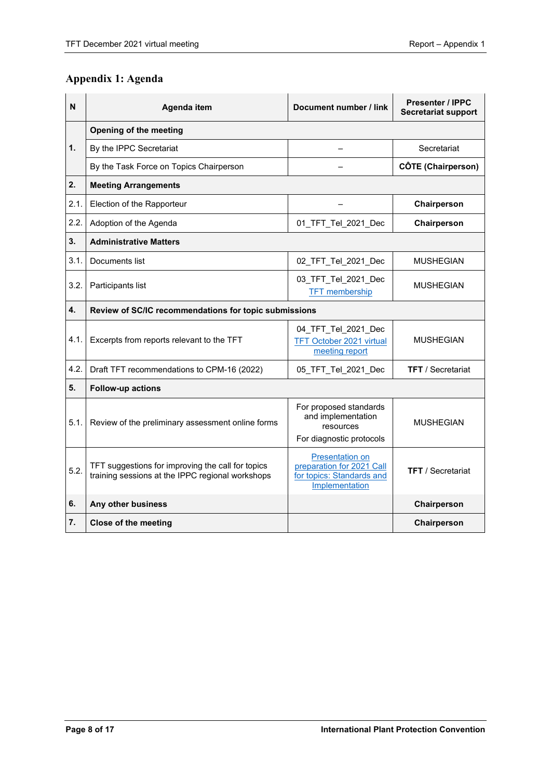# <span id="page-7-0"></span>**Appendix 1: Agenda**

| N    | Agenda item                                                                                           | Document number / link                                                                             | <b>Presenter / IPPC</b><br><b>Secretariat support</b> |  |  |  |
|------|-------------------------------------------------------------------------------------------------------|----------------------------------------------------------------------------------------------------|-------------------------------------------------------|--|--|--|
|      | Opening of the meeting                                                                                |                                                                                                    |                                                       |  |  |  |
| 1.   | By the IPPC Secretariat                                                                               |                                                                                                    | Secretariat                                           |  |  |  |
|      | By the Task Force on Topics Chairperson                                                               |                                                                                                    | <b>CÔTE (Chairperson)</b>                             |  |  |  |
| 2.   | <b>Meeting Arrangements</b>                                                                           |                                                                                                    |                                                       |  |  |  |
| 2.1. | Election of the Rapporteur                                                                            |                                                                                                    | Chairperson                                           |  |  |  |
| 2.2. | Adoption of the Agenda                                                                                | 01 TFT Tel 2021 Dec                                                                                | Chairperson                                           |  |  |  |
| 3.   | <b>Administrative Matters</b>                                                                         |                                                                                                    |                                                       |  |  |  |
| 3.1. | Documents list                                                                                        | 02_TFT_Tel_2021_Dec                                                                                | <b>MUSHEGIAN</b>                                      |  |  |  |
| 3.2. | Participants list                                                                                     | 03 TFT Tel 2021 Dec<br><b>TFT</b> membership                                                       | <b>MUSHEGIAN</b>                                      |  |  |  |
| 4.   | Review of SC/IC recommendations for topic submissions                                                 |                                                                                                    |                                                       |  |  |  |
| 4.1. | Excerpts from reports relevant to the TFT                                                             | 04 TFT Tel 2021 Dec<br><b>TFT October 2021 virtual</b><br>meeting report                           | <b>MUSHEGIAN</b>                                      |  |  |  |
| 4.2. | Draft TFT recommendations to CPM-16 (2022)                                                            | 05 TFT Tel 2021 Dec                                                                                | <b>TFT</b> / Secretariat                              |  |  |  |
| 5.   | Follow-up actions                                                                                     |                                                                                                    |                                                       |  |  |  |
| 5.1. | Review of the preliminary assessment online forms                                                     | For proposed standards<br>and implementation<br>resources<br>For diagnostic protocols              | <b>MUSHEGIAN</b>                                      |  |  |  |
| 5.2. | TFT suggestions for improving the call for topics<br>training sessions at the IPPC regional workshops | <b>Presentation on</b><br>preparation for 2021 Call<br>for topics: Standards and<br>Implementation | <b>TFT</b> / Secretariat                              |  |  |  |
| 6.   | Any other business                                                                                    |                                                                                                    | Chairperson                                           |  |  |  |
| 7.   | <b>Close of the meeting</b>                                                                           |                                                                                                    | Chairperson                                           |  |  |  |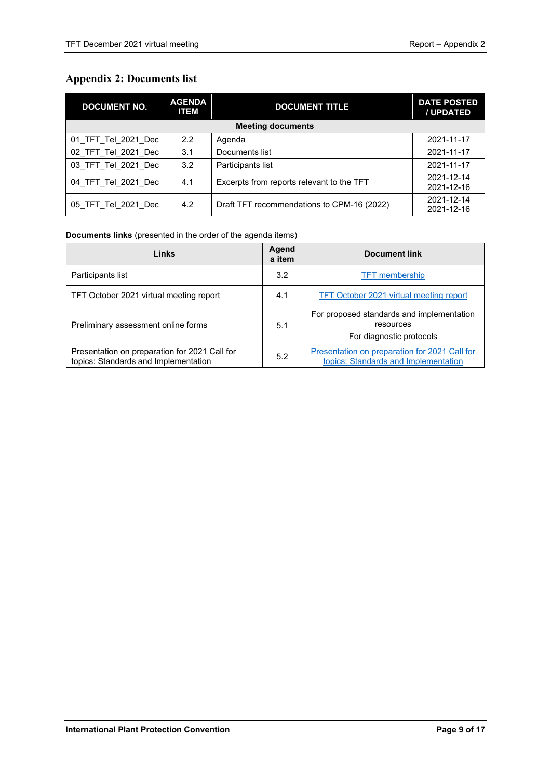# <span id="page-8-0"></span>**Appendix 2: Documents list**

| <b>DOCUMENT NO.</b> | <b>AGENDA</b><br><b>ITEM</b> | <b>DOCUMENT TITLE</b>                      | <b>DATE POSTED</b><br>/ UPDATED |
|---------------------|------------------------------|--------------------------------------------|---------------------------------|
|                     |                              | <b>Meeting documents</b>                   |                                 |
| 01_TFT_Tel_2021_Dec | $2.2^{\circ}$                | Agenda                                     | 2021-11-17                      |
| 02 TFT Tel 2021 Dec | 3.1                          | Documents list                             | 2021-11-17                      |
| 03 TFT Tel 2021 Dec | 3.2                          | Participants list                          | 2021-11-17                      |
| 04 TFT Tel 2021 Dec | 4.1                          | Excerpts from reports relevant to the TFT  | 2021-12-14<br>2021-12-16        |
| 05_TFT_Tel_2021 Dec | 4.2                          | Draft TFT recommendations to CPM-16 (2022) | 2021-12-14<br>2021-12-16        |

#### **Documents links** (presented in the order of the agenda items)

| Links                                                                                 | Agend<br>a item | <b>Document link</b>                                                                  |
|---------------------------------------------------------------------------------------|-----------------|---------------------------------------------------------------------------------------|
| Participants list                                                                     | 3.2             | <b>TFT</b> membership                                                                 |
| TFT October 2021 virtual meeting report                                               | 4.1             | TFT October 2021 virtual meeting report                                               |
| Preliminary assessment online forms                                                   | 5.1             | For proposed standards and implementation<br>resources<br>For diagnostic protocols    |
| Presentation on preparation for 2021 Call for<br>topics: Standards and Implementation | 5.2             | Presentation on preparation for 2021 Call for<br>topics: Standards and Implementation |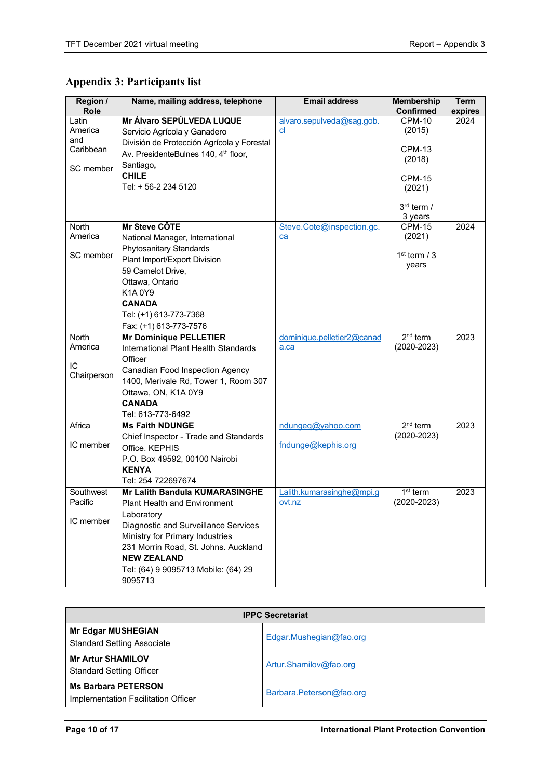# <span id="page-9-0"></span>**Appendix 3: Participants list**

| Region /<br>Role | Name, mailing address, telephone                        | <b>Email address</b>            | <b>Membership</b><br><b>Confirmed</b> | <b>Term</b><br>expires |
|------------------|---------------------------------------------------------|---------------------------------|---------------------------------------|------------------------|
| Latin            | Mr Álvaro SEPÚLVEDA LUQUE                               | alvaro.sepulveda@sag.gob.       | $CPM-10$                              | 2024                   |
| America          | Servicio Agrícola y Ganadero                            | $_{\text{cl}}$                  | (2015)                                |                        |
| and              | División de Protección Agrícola y Forestal              |                                 |                                       |                        |
| Caribbean        | Av. PresidenteBulnes 140, 4 <sup>th</sup> floor,        |                                 | <b>CPM-13</b>                         |                        |
| SC member        | Santiago,                                               |                                 | (2018)                                |                        |
|                  | <b>CHILE</b>                                            |                                 | CPM-15                                |                        |
|                  | Tel: + 56-2 234 5120                                    |                                 | (2021)                                |                        |
|                  |                                                         |                                 |                                       |                        |
|                  |                                                         |                                 | $3rd$ term /                          |                        |
| North            | Mr Steve CÔTE                                           |                                 | 3 years<br><b>CPM-15</b>              | 2024                   |
| America          |                                                         | Steve.Cote@inspection.gc.<br>ca | (2021)                                |                        |
|                  | National Manager, International                         |                                 |                                       |                        |
| SC member        | Phytosanitary Standards<br>Plant Import/Export Division |                                 | $1st$ term / 3                        |                        |
|                  | 59 Camelot Drive,                                       |                                 | years                                 |                        |
|                  | Ottawa, Ontario                                         |                                 |                                       |                        |
|                  | K1A0Y9                                                  |                                 |                                       |                        |
|                  | <b>CANADA</b>                                           |                                 |                                       |                        |
|                  | Tel: (+1) 613-773-7368                                  |                                 |                                       |                        |
|                  | Fax: (+1) 613-773-7576                                  |                                 |                                       |                        |
| <b>North</b>     | <b>Mr Dominique PELLETIER</b>                           | dominique.pelletier2@canad      | $2nd$ term                            | 2023                   |
| America          | International Plant Health Standards                    | a.ca                            | $(2020 - 2023)$                       |                        |
|                  | Officer                                                 |                                 |                                       |                        |
| IC               | Canadian Food Inspection Agency                         |                                 |                                       |                        |
| Chairperson      | 1400, Merivale Rd, Tower 1, Room 307                    |                                 |                                       |                        |
|                  | Ottawa, ON, K1A 0Y9                                     |                                 |                                       |                        |
|                  | <b>CANADA</b>                                           |                                 |                                       |                        |
|                  | Tel: 613-773-6492                                       |                                 |                                       |                        |
| Africa           | <b>Ms Faith NDUNGE</b>                                  | ndungeq@yahoo.com               | $2nd$ term                            | 2023                   |
|                  | Chief Inspector - Trade and Standards                   |                                 | $(2020 - 2023)$                       |                        |
| IC member        | Office. KEPHIS                                          | fndunge@kephis.org              |                                       |                        |
|                  | P.O. Box 49592, 00100 Nairobi                           |                                 |                                       |                        |
|                  | <b>KENYA</b>                                            |                                 |                                       |                        |
|                  | Tel: 254 722697674                                      |                                 |                                       |                        |
| Southwest        | <b>Mr Lalith Bandula KUMARASINGHE</b>                   | Lalith.kumarasinghe@mpi.g       | $1st$ term                            | 2023                   |
| Pacific          | <b>Plant Health and Environment</b>                     | ovt.nz                          | $(2020 - 2023)$                       |                        |
|                  | Laboratory                                              |                                 |                                       |                        |
| IC member        | Diagnostic and Surveillance Services                    |                                 |                                       |                        |
|                  | Ministry for Primary Industries                         |                                 |                                       |                        |
|                  | 231 Morrin Road, St. Johns. Auckland                    |                                 |                                       |                        |
|                  | <b>NEW ZEALAND</b>                                      |                                 |                                       |                        |
|                  | Tel: (64) 9 9095713 Mobile: (64) 29                     |                                 |                                       |                        |
|                  | 9095713                                                 |                                 |                                       |                        |

| <b>IPPC Secretariat</b>                                           |                          |  |  |  |
|-------------------------------------------------------------------|--------------------------|--|--|--|
| <b>Mr Edgar MUSHEGIAN</b><br><b>Standard Setting Associate</b>    | Edgar.Mushegian@fao.org  |  |  |  |
| <b>Mr Artur SHAMILOV</b><br><b>Standard Setting Officer</b>       | Artur.Shamilov@fao.org   |  |  |  |
| <b>Ms Barbara PETERSON</b><br>Implementation Facilitation Officer | Barbara.Peterson@fao.org |  |  |  |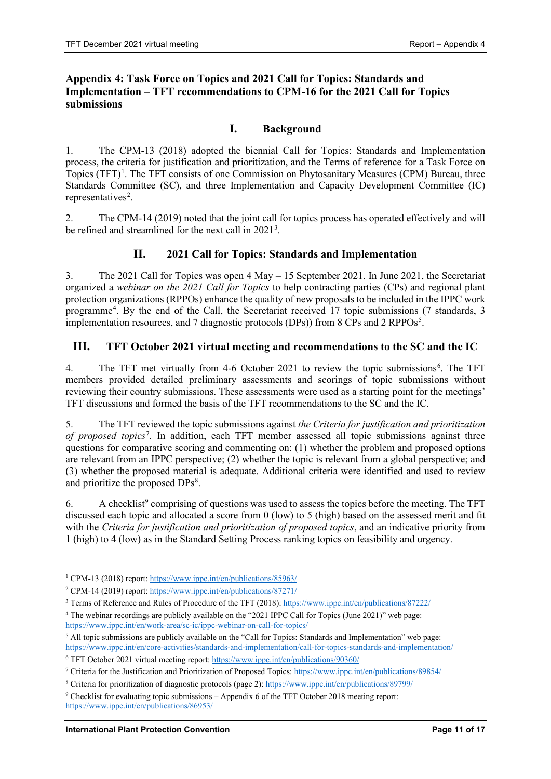#### <span id="page-10-0"></span>**Appendix 4: Task Force on Topics and 2021 Call for Topics: Standards and Implementation – TFT recommendations to CPM-16 for the 2021 Call for Topics submissions**

# **I. Background**

1. The CPM-13 (2018) adopted the biennial Call for Topics: Standards and Implementation process, the criteria for justification and prioritization, and the Terms of reference for a Task Force on Topics (TFT)<sup>[1](#page-10-1)</sup>. The TFT consists of one Commission on Phytosanitary Measures (CPM) Bureau, three Standards Committee (SC), and three Implementation and Capacity Development Committee (IC) representatives<sup>2</sup>.

2. The CPM-14 (2019) noted that the joint call for topics process has operated effectively and will be refined and streamlined for the next call in  $2021<sup>3</sup>$  $2021<sup>3</sup>$  $2021<sup>3</sup>$ .

#### **II. 2021 Call for Topics: Standards and Implementation**

3. The 2021 Call for Topics was open 4 May – 15 September 2021. In June 2021, the Secretariat organized a *webinar on the 2021 Call for Topics* to help contracting parties (CPs) and regional plant protection organizations (RPPOs) enhance the quality of new proposals to be included in the IPPC work programme[4](#page-10-4) . By the end of the Call, the Secretariat received 17 topic submissions (7 standards, 3 implementation resources, and 7 diagnostic protocols (DPs)) from 8 CPs and 2 RPPOs<sup>[5](#page-10-5)</sup>.

#### **III. TFT October 2021 virtual meeting and recommendations to the SC and the IC**

4. The TFT met virtually from 4-[6](#page-10-6) October 2021 to review the topic submissions<sup>6</sup>. The TFT members provided detailed preliminary assessments and scorings of topic submissions without reviewing their country submissions. These assessments were used as a starting point for the meetings' TFT discussions and formed the basis of the TFT recommendations to the SC and the IC.

5. The TFT reviewed the topic submissions against *the Criteria for justification and prioritization of proposed topics*[7](#page-10-7) . In addition, each TFT member assessed all topic submissions against three questions for comparative scoring and commenting on: (1) whether the problem and proposed options are relevant from an IPPC perspective; (2) whether the topic is relevant from a global perspective; and (3) whether the proposed material is adequate. Additional criteria were identified and used to review and prioritize the proposed DPs<sup>[8](#page-10-8)</sup>.

6. A checklist<sup>[9](#page-10-9)</sup> comprising of questions was used to assess the topics before the meeting. The TFT discussed each topic and allocated a score from 0 (low) to 5 (high) based on the assessed merit and fit with the *Criteria for justification and prioritization of proposed topics*, and an indicative priority from 1 (high) to 4 (low) as in the Standard Setting Process ranking topics on feasibility and urgency.

<span id="page-10-5"></span><sup>5</sup> All topic submissions are publicly available on the "Call for Topics: Standards and Implementation" web page: <https://www.ippc.int/en/core-activities/standards-and-implementation/call-for-topics-standards-and-implementation/>

<span id="page-10-1"></span><sup>1</sup> CPM-13 (2018) report:<https://www.ippc.int/en/publications/85963/>

<span id="page-10-2"></span><sup>2</sup> CPM-14 (2019) report:<https://www.ippc.int/en/publications/87271/>

<span id="page-10-3"></span><sup>3</sup> Terms of Reference and Rules of Procedure of the TFT (2018)[: https://www.ippc.int/en/publications/87222/](https://www.ippc.int/en/publications/87222/)

<span id="page-10-4"></span><sup>4</sup> The webinar recordings are publicly available on the "2021 IPPC Call for Topics (June 2021)" web page: <https://www.ippc.int/en/work-area/sc-ic/ippc-webinar-on-call-for-topics/>

<span id="page-10-6"></span><sup>6</sup> TFT October 2021 virtual meeting report[: https://www.ippc.int/en/publications/90360/](https://www.ippc.int/en/publications/90360/)

<span id="page-10-7"></span><sup>7</sup> Criteria for the Justification and Prioritization of Proposed Topics:<https://www.ippc.int/en/publications/89854/>

<span id="page-10-8"></span><sup>8</sup> Criteria for prioritization of diagnostic protocols (page 2):<https://www.ippc.int/en/publications/89799/>

<span id="page-10-9"></span><sup>9</sup> Checklist for evaluating topic submissions – Appendix 6 of the TFT October 2018 meeting report: <https://www.ippc.int/en/publications/86953/>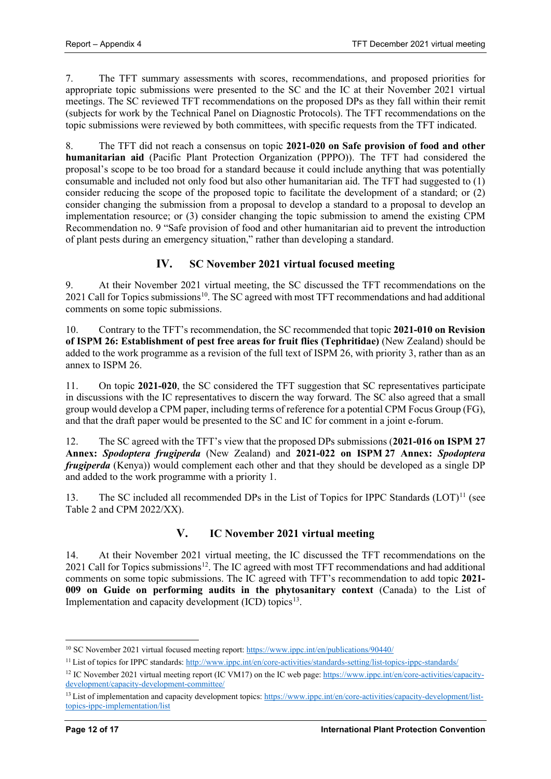7. The TFT summary assessments with scores, recommendations, and proposed priorities for appropriate topic submissions were presented to the SC and the IC at their November 2021 virtual meetings. The SC reviewed TFT recommendations on the proposed DPs as they fall within their remit (subjects for work by the Technical Panel on Diagnostic Protocols). The TFT recommendations on the topic submissions were reviewed by both committees, with specific requests from the TFT indicated.

8. The TFT did not reach a consensus on topic **2021-020 on Safe provision of food and other humanitarian aid** (Pacific Plant Protection Organization (PPPO)). The TFT had considered the proposal's scope to be too broad for a standard because it could include anything that was potentially consumable and included not only food but also other humanitarian aid. The TFT had suggested to (1) consider reducing the scope of the proposed topic to facilitate the development of a standard; or (2) consider changing the submission from a proposal to develop a standard to a proposal to develop an implementation resource; or (3) consider changing the topic submission to amend the existing CPM Recommendation no. 9 "Safe provision of food and other humanitarian aid to prevent the introduction of plant pests during an emergency situation," rather than developing a standard.

# **IV. SC November 2021 virtual focused meeting**

9. At their November 2021 virtual meeting, the SC discussed the TFT recommendations on the 2021 Call for Topics submissions<sup>10</sup>. The SC agreed with most TFT recommendations and had additional comments on some topic submissions.

10. Contrary to the TFT's recommendation, the SC recommended that topic **2021-010 on Revision of ISPM 26: Establishment of pest free areas for fruit flies (Tephritidae)** (New Zealand) should be added to the work programme as a revision of the full text of ISPM 26, with priority 3, rather than as an annex to ISPM 26.

11. On topic **2021-020**, the SC considered the TFT suggestion that SC representatives participate in discussions with the IC representatives to discern the way forward. The SC also agreed that a small group would develop a CPM paper, including terms of reference for a potential CPM Focus Group (FG), and that the draft paper would be presented to the SC and IC for comment in a joint e-forum.

12. The SC agreed with the TFT's view that the proposed DPs submissions (**2021-016 on ISPM 27 Annex:** *Spodoptera frugiperda* (New Zealand) and **2021-022 on ISPM 27 Annex:** *Spodoptera frugiperda* (Kenya)) would complement each other and that they should be developed as a single DP and added to the work programme with a priority 1.

13. The SC included all recommended DPs in the List of Topics for IPPC Standards  $(LOT)^{11}$  $(LOT)^{11}$  $(LOT)^{11}$  (see Table 2 and CPM 2022/XX).

# **V. IC November 2021 virtual meeting**

14. At their November 2021 virtual meeting, the IC discussed the TFT recommendations on the 2021 Call for Topics submissions<sup>[12](#page-11-2)</sup>. The IC agreed with most TFT recommendations and had additional comments on some topic submissions. The IC agreed with TFT's recommendation to add topic **2021- 009 on Guide on performing audits in the phytosanitary context** (Canada) to the List of Implementation and capacity development  $(ICD)$  topics<sup>13</sup>.

<span id="page-11-0"></span><sup>&</sup>lt;sup>10</sup> SC November 2021 virtual focused meeting report[: https://www.ippc.int/en/publications/90440/](https://www.ippc.int/en/publications/90440/)

<span id="page-11-1"></span><sup>&</sup>lt;sup>11</sup> List of topics for IPPC standards:<http://www.ippc.int/en/core-activities/standards-setting/list-topics-ippc-standards/>

<span id="page-11-2"></span><sup>&</sup>lt;sup>12</sup> IC November 2021 virtual meeting report (IC VM17) on the IC web page[: https://www.ippc.int/en/core-activities/capacity](https://www.ippc.int/en/core-activities/capacity-development/capacity-development-committee/)[development/capacity-development-committee/](https://www.ippc.int/en/core-activities/capacity-development/capacity-development-committee/)

<span id="page-11-3"></span><sup>&</sup>lt;sup>13</sup> List of implementation and capacity development topics[: https://www.ippc.int/en/core-activities/capacity-development/list](https://www.ippc.int/en/core-activities/capacity-development/list-topics-ippc-implementation/list)[topics-ippc-implementation/list](https://www.ippc.int/en/core-activities/capacity-development/list-topics-ippc-implementation/list)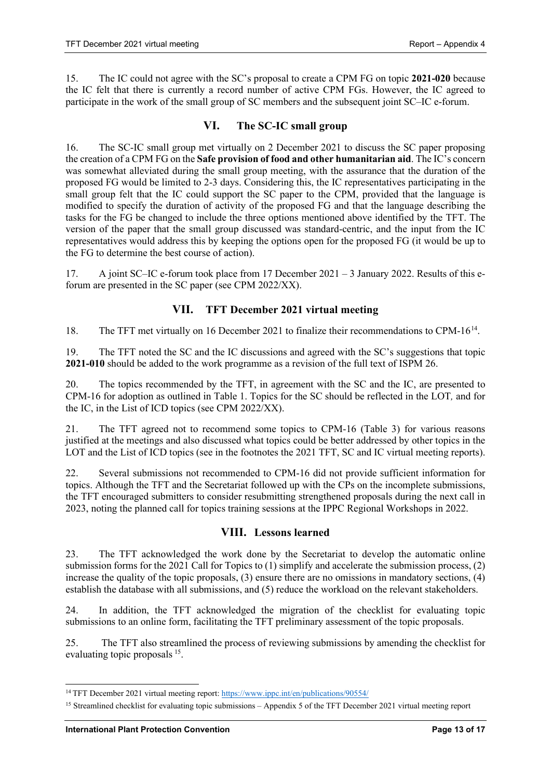15. The IC could not agree with the SC's proposal to create a CPM FG on topic **2021-020** because the IC felt that there is currently a record number of active CPM FGs. However, the IC agreed to participate in the work of the small group of SC members and the subsequent joint SC–IC e-forum.

#### **VI. The SC-IC small group**

16. The SC-IC small group met virtually on 2 December 2021 to discuss the SC paper proposing the creation of a CPM FG on the **Safe provision of food and other humanitarian aid**. The IC's concern was somewhat alleviated during the small group meeting, with the assurance that the duration of the proposed FG would be limited to 2-3 days. Considering this, the IC representatives participating in the small group felt that the IC could support the SC paper to the CPM, provided that the language is modified to specify the duration of activity of the proposed FG and that the language describing the tasks for the FG be changed to include the three options mentioned above identified by the TFT. The version of the paper that the small group discussed was standard-centric, and the input from the IC representatives would address this by keeping the options open for the proposed FG (it would be up to the FG to determine the best course of action).

17. A joint SC–IC e-forum took place from 17 December 2021 – 3 January 2022. Results of this eforum are presented in the SC paper (see CPM 2022/XX).

#### **VII. TFT December 2021 virtual meeting**

18. The TFT met virtually on 16 December 2021 to finalize their recommendations to CPM-16[14](#page-12-0).

19. The TFT noted the SC and the IC discussions and agreed with the SC's suggestions that topic **2021-010** should be added to the work programme as a revision of the full text of ISPM 26.

20. The topics recommended by the TFT, in agreement with the SC and the IC, are presented to CPM-16 for adoption as outlined in Table 1. Topics for the SC should be reflected in the LOT*,* and for the IC, in the List of ICD topics (see CPM 2022/XX).

21. The TFT agreed not to recommend some topics to CPM-16 (Table 3) for various reasons justified at the meetings and also discussed what topics could be better addressed by other topics in the LOT and the List of ICD topics (see in the footnotes the 2021 TFT, SC and IC virtual meeting reports).

22. Several submissions not recommended to CPM-16 did not provide sufficient information for topics. Although the TFT and the Secretariat followed up with the CPs on the incomplete submissions, the TFT encouraged submitters to consider resubmitting strengthened proposals during the next call in 2023, noting the planned call for topics training sessions at the IPPC Regional Workshops in 2022.

#### **VIII. Lessons learned**

23. The TFT acknowledged the work done by the Secretariat to develop the automatic online submission forms for the 2021 Call for Topics to (1) simplify and accelerate the submission process, (2) increase the quality of the topic proposals, (3) ensure there are no omissions in mandatory sections, (4) establish the database with all submissions, and (5) reduce the workload on the relevant stakeholders.

24. In addition, the TFT acknowledged the migration of the checklist for evaluating topic submissions to an online form, facilitating the TFT preliminary assessment of the topic proposals.

25. The TFT also streamlined the process of reviewing submissions by amending the checklist for evaluating topic proposals <sup>15</sup>.

<span id="page-12-0"></span><sup>&</sup>lt;sup>14</sup> TFT December 2021 virtual meeting report[: https://www.ippc.int/en/publications/90554/](https://www.ippc.int/en/publications/90554/)

<span id="page-12-1"></span><sup>&</sup>lt;sup>15</sup> Streamlined checklist for evaluating topic submissions – Appendix 5 of the TFT December 2021 virtual meeting report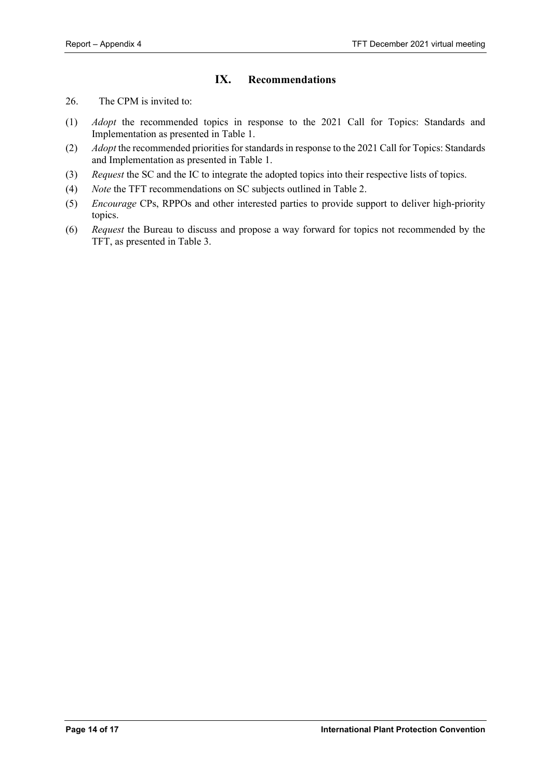# **IX. Recommendations**

- 26. The CPM is invited to:
- (1) *Adopt* the recommended topics in response to the 2021 Call for Topics: Standards and Implementation as presented in Table 1.
- (2) *Adopt* the recommended priorities for standards in response to the 2021 Call for Topics: Standards and Implementation as presented in Table 1.
- (3) *Request* the SC and the IC to integrate the adopted topics into their respective lists of topics.
- (4) *Note* the TFT recommendations on SC subjects outlined in Table 2.
- (5) *Encourage* CPs, RPPOs and other interested parties to provide support to deliver high-priority topics.
- (6) *Request* the Bureau to discuss and propose a way forward for topics not recommended by the TFT, as presented in Table 3.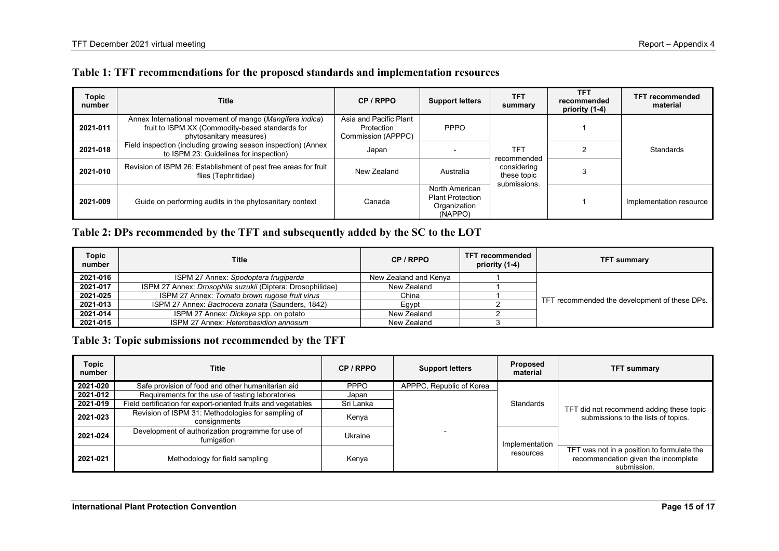|  |  |  | Table 1: TFT recommendations for the proposed standards and implementation resources |
|--|--|--|--------------------------------------------------------------------------------------|
|--|--|--|--------------------------------------------------------------------------------------|

| <b>Topic</b><br>number | Title                                                                                                                                  | CP / RPPO                                                  | <b>Support letters</b>                                               | TFT<br>summary                                   | <b>TFT</b><br>recommended<br>priority (1-4) | <b>TFT recommended</b><br>material |  |  |  |           |
|------------------------|----------------------------------------------------------------------------------------------------------------------------------------|------------------------------------------------------------|----------------------------------------------------------------------|--------------------------------------------------|---------------------------------------------|------------------------------------|--|--|--|-----------|
| 2021-011               | Annex International movement of mango (Mangifera indica)<br>fruit to ISPM XX (Commodity-based standards for<br>phytosanitary measures) | Asia and Pacific Plant<br>Protection<br>Commission (APPPC) | <b>PPPO</b>                                                          |                                                  |                                             |                                    |  |  |  |           |
| 2021-018               | Field inspection (including growing season inspection) (Annex<br>to ISPM 23: Guidelines for inspection)                                | Japan                                                      |                                                                      | TFT<br>recommended<br>considering<br>these topic | submissions.                                |                                    |  |  |  | Standards |
| 2021-010               | Revision of ISPM 26: Establishment of pest free areas for fruit<br>flies (Tephritidae)                                                 | New Zealand                                                | Australia                                                            |                                                  |                                             |                                    |  |  |  |           |
| 2021-009               | Guide on performing audits in the phytosanitary context                                                                                | Canada                                                     | North American<br><b>Plant Protection</b><br>Organization<br>(NAPPO) |                                                  |                                             | Implementation resource            |  |  |  |           |

# **Table 2: DPs recommended by the TFT and subsequently added by the SC to the LOT**

| <b>Topic</b><br>number | <b>Title</b>                                                      | CP / RPPO             | <b>TFT recommended</b><br>priority (1-4) | <b>TFT summary</b>                            |
|------------------------|-------------------------------------------------------------------|-----------------------|------------------------------------------|-----------------------------------------------|
| 2021-016               | ISPM 27 Annex: Spodoptera frugiperda                              | New Zealand and Kenva |                                          |                                               |
| 2021-017               | ISPM 27 Annex: <i>Drosophila suzukii</i> (Diptera: Drosophilidae) | New Zealand           |                                          |                                               |
| 2021-025               | ISPM 27 Annex: Tomato brown rugose fruit virus                    | China                 |                                          | TFT recommended the development of these DPs. |
| 2021-013               | ISPM 27 Annex: Bactrocera zonata (Saunders, 1842)                 | Eqypt                 |                                          |                                               |
| 2021-014               | ISPM 27 Annex: Dickeya spp. on potato                             | New Zealand           |                                          |                                               |
| 2021-015               | ISPM 27 Annex: Heterobasidion annosum                             | New Zealand           |                                          |                                               |

# **Table 3: Topic submissions not recommended by the TFT**

| <b>Topic</b><br>number | Title                                                              | CP / RPPO   | <b>Support letters</b>   | Proposed<br>material        | <b>TFT summary</b>                                                                               |
|------------------------|--------------------------------------------------------------------|-------------|--------------------------|-----------------------------|--------------------------------------------------------------------------------------------------|
| 2021-020               | Safe provision of food and other humanitarian aid                  | <b>PPPO</b> | APPPC, Republic of Korea |                             |                                                                                                  |
| 2021-012               | Requirements for the use of testing laboratories                   | Japan       |                          |                             |                                                                                                  |
| 2021-019               | Field certification for export-oriented fruits and vegetables      | Sri Lanka   |                          | Standards                   |                                                                                                  |
| 2021-023               | Revision of ISPM 31: Methodologies for sampling of<br>consignments | Kenya       |                          | Implementation<br>resources | TFT did not recommend adding these topic<br>submissions to the lists of topics.                  |
| 2021-024               | Development of authorization programme for use of<br>fumigation    | Ukraine     |                          |                             |                                                                                                  |
| 2021-021               | Methodology for field sampling                                     | Kenya       |                          |                             | TFT was not in a position to formulate the<br>recommendation given the incomplete<br>submission. |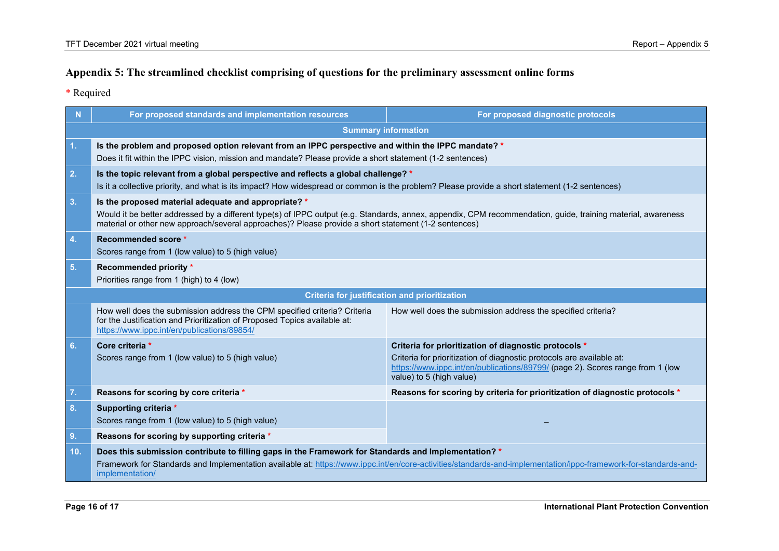# **Appendix 5: The streamlined checklist comprising of questions for the preliminary assessment online forms**

\* Required

<span id="page-15-0"></span>

| N   | For proposed standards and implementation resources                                                                                                                                                                                  | For proposed diagnostic protocols                                                                                                                                                                                                            |  |  |
|-----|--------------------------------------------------------------------------------------------------------------------------------------------------------------------------------------------------------------------------------------|----------------------------------------------------------------------------------------------------------------------------------------------------------------------------------------------------------------------------------------------|--|--|
|     | <b>Summary information</b>                                                                                                                                                                                                           |                                                                                                                                                                                                                                              |  |  |
| 1.  | Is the problem and proposed option relevant from an IPPC perspective and within the IPPC mandate? *<br>Does it fit within the IPPC vision, mission and mandate? Please provide a short statement (1-2 sentences)                     |                                                                                                                                                                                                                                              |  |  |
| 2.  | Is the topic relevant from a global perspective and reflects a global challenge? *<br>Is it a collective priority, and what is its impact? How widespread or common is the problem? Please provide a short statement (1-2 sentences) |                                                                                                                                                                                                                                              |  |  |
| 3.  | Is the proposed material adequate and appropriate? *<br>material or other new approach/several approaches)? Please provide a short statement (1-2 sentences)                                                                         | Would it be better addressed by a different type(s) of IPPC output (e.g. Standards, annex, appendix, CPM recommendation, guide, training material, awareness                                                                                 |  |  |
| 4.  | Recommended score *<br>Scores range from 1 (low value) to 5 (high value)                                                                                                                                                             |                                                                                                                                                                                                                                              |  |  |
| 5.  | Recommended priority *<br>Priorities range from 1 (high) to 4 (low)                                                                                                                                                                  |                                                                                                                                                                                                                                              |  |  |
|     |                                                                                                                                                                                                                                      | <b>Criteria for justification and prioritization</b>                                                                                                                                                                                         |  |  |
|     | How well does the submission address the CPM specified criteria? Criteria<br>for the Justification and Prioritization of Proposed Topics available at:<br>https://www.ippc.int/en/publications/89854/                                | How well does the submission address the specified criteria?                                                                                                                                                                                 |  |  |
| 6.  | Core criteria *<br>Scores range from 1 (low value) to 5 (high value)                                                                                                                                                                 | Criteria for prioritization of diagnostic protocols *<br>Criteria for prioritization of diagnostic protocols are available at:<br>https://www.ippc.int/en/publications/89799/ (page 2). Scores range from 1 (low<br>value) to 5 (high value) |  |  |
| 7.  | Reasons for scoring by core criteria *                                                                                                                                                                                               | Reasons for scoring by criteria for prioritization of diagnostic protocols *                                                                                                                                                                 |  |  |
| 8.  | Supporting criteria *<br>Scores range from 1 (low value) to 5 (high value)                                                                                                                                                           |                                                                                                                                                                                                                                              |  |  |
| 9.  | Reasons for scoring by supporting criteria *                                                                                                                                                                                         |                                                                                                                                                                                                                                              |  |  |
| 10. | Does this submission contribute to filling gaps in the Framework for Standards and Implementation? *<br>implementation/                                                                                                              | Framework for Standards and Implementation available at: https://www.ippc.int/en/core-activities/standards-and-implementation/ippc-framework-for-standards-and-                                                                              |  |  |